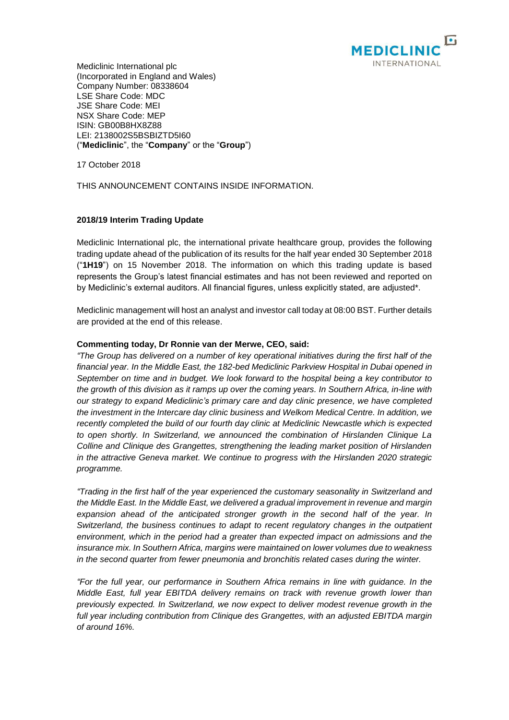

Mediclinic International plc (Incorporated in England and Wales) Company Number: 08338604 LSE Share Code: MDC JSE Share Code: MEI NSX Share Code: MEP ISIN: GB00B8HX8Z88 LEI: 2138002S5BSBIZTD5I60 ("**Mediclinic**", the "**Company**" or the "**Group**")

17 October 2018

THIS ANNOUNCEMENT CONTAINS INSIDE INFORMATION.

# **2018/19 Interim Trading Update**

Mediclinic International plc, the international private healthcare group, provides the following trading update ahead of the publication of its results for the half year ended 30 September 2018 ("**1H19**") on 15 November 2018. The information on which this trading update is based represents the Group's latest financial estimates and has not been reviewed and reported on by Mediclinic's external auditors. All financial figures, unless explicitly stated, are adjusted\*.

Mediclinic management will host an analyst and investor call today at 08:00 BST. Further details are provided at the end of this release.

## **Commenting today, Dr Ronnie van der Merwe, CEO, said:**

*"The Group has delivered on a number of key operational initiatives during the first half of the financial year. In the Middle East, the 182-bed Mediclinic Parkview Hospital in Dubai opened in September on time and in budget. We look forward to the hospital being a key contributor to the growth of this division as it ramps up over the coming years. In Southern Africa, in-line with our strategy to expand Mediclinic's primary care and day clinic presence, we have completed the investment in the Intercare day clinic business and Welkom Medical Centre. In addition, we recently completed the build of our fourth day clinic at Mediclinic Newcastle which is expected to open shortly. In Switzerland, we announced the combination of Hirslanden Clinique La Colline and Clinique des Grangettes, strengthening the leading market position of Hirslanden in the attractive Geneva market. We continue to progress with the Hirslanden 2020 strategic programme.*

*"Trading in the first half of the year experienced the customary seasonality in Switzerland and the Middle East. In the Middle East, we delivered a gradual improvement in revenue and margin expansion ahead of the anticipated stronger growth in the second half of the year. In Switzerland, the business continues to adapt to recent regulatory changes in the outpatient environment, which in the period had a greater than expected impact on admissions and the insurance mix. In Southern Africa, margins were maintained on lower volumes due to weakness in the second quarter from fewer pneumonia and bronchitis related cases during the winter.* 

*"For the full year, our performance in Southern Africa remains in line with guidance. In the Middle East, full year EBITDA delivery remains on track with revenue growth lower than previously expected. In Switzerland, we now expect to deliver modest revenue growth in the full year including contribution from Clinique des Grangettes, with an adjusted EBITDA margin of around 16%.*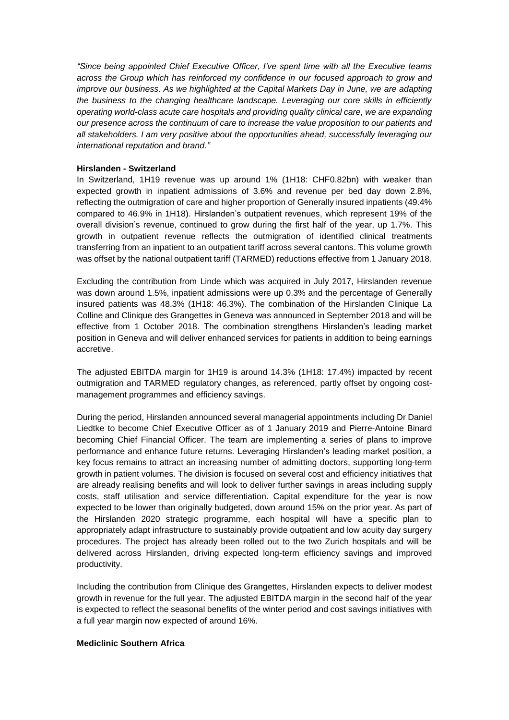*"Since being appointed Chief Executive Officer, I've spent time with all the Executive teams across the Group which has reinforced my confidence in our focused approach to grow and improve our business. As we highlighted at the Capital Markets Day in June, we are adapting the business to the changing healthcare landscape. Leveraging our core skills in efficiently operating world-class acute care hospitals and providing quality clinical care, we are expanding our presence across the continuum of care to increase the value proposition to our patients and all stakeholders. I am very positive about the opportunities ahead, successfully leveraging our international reputation and brand."*

### **Hirslanden - Switzerland**

In Switzerland, 1H19 revenue was up around 1% (1H18: CHF0.82bn) with weaker than expected growth in inpatient admissions of 3.6% and revenue per bed day down 2.8%, reflecting the outmigration of care and higher proportion of Generally insured inpatients (49.4% compared to 46.9% in 1H18). Hirslanden's outpatient revenues, which represent 19% of the overall division's revenue, continued to grow during the first half of the year, up 1.7%. This growth in outpatient revenue reflects the outmigration of identified clinical treatments transferring from an inpatient to an outpatient tariff across several cantons. This volume growth was offset by the national outpatient tariff (TARMED) reductions effective from 1 January 2018.

Excluding the contribution from Linde which was acquired in July 2017, Hirslanden revenue was down around 1.5%, inpatient admissions were up 0.3% and the percentage of Generally insured patients was 48.3% (1H18: 46.3%). The combination of the Hirslanden Clinique La Colline and Clinique des Grangettes in Geneva was announced in September 2018 and will be effective from 1 October 2018. The combination strengthens Hirslanden's leading market position in Geneva and will deliver enhanced services for patients in addition to being earnings accretive.

The adjusted EBITDA margin for 1H19 is around 14.3% (1H18: 17.4%) impacted by recent outmigration and TARMED regulatory changes, as referenced, partly offset by ongoing costmanagement programmes and efficiency savings.

During the period, Hirslanden announced several managerial appointments including Dr Daniel Liedtke to become Chief Executive Officer as of 1 January 2019 and Pierre-Antoine Binard becoming Chief Financial Officer. The team are implementing a series of plans to improve performance and enhance future returns. Leveraging Hirslanden's leading market position, a key focus remains to attract an increasing number of admitting doctors, supporting long-term growth in patient volumes. The division is focused on several cost and efficiency initiatives that are already realising benefits and will look to deliver further savings in areas including supply costs, staff utilisation and service differentiation. Capital expenditure for the year is now expected to be lower than originally budgeted, down around 15% on the prior year. As part of the Hirslanden 2020 strategic programme, each hospital will have a specific plan to appropriately adapt infrastructure to sustainably provide outpatient and low acuity day surgery procedures. The project has already been rolled out to the two Zurich hospitals and will be delivered across Hirslanden, driving expected long-term efficiency savings and improved productivity.

Including the contribution from Clinique des Grangettes, Hirslanden expects to deliver modest growth in revenue for the full year. The adjusted EBITDA margin in the second half of the year is expected to reflect the seasonal benefits of the winter period and cost savings initiatives with a full year margin now expected of around 16%.

#### **Mediclinic Southern Africa**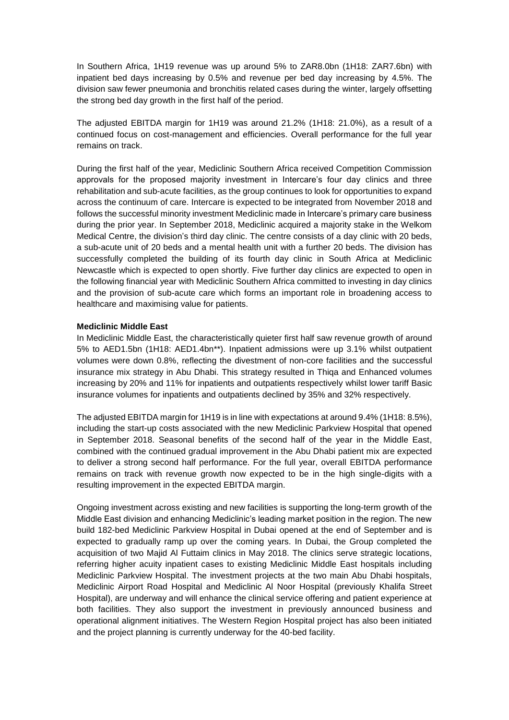In Southern Africa, 1H19 revenue was up around 5% to ZAR8.0bn (1H18: ZAR7.6bn) with inpatient bed days increasing by 0.5% and revenue per bed day increasing by 4.5%. The division saw fewer pneumonia and bronchitis related cases during the winter, largely offsetting the strong bed day growth in the first half of the period.

The adjusted EBITDA margin for 1H19 was around 21.2% (1H18: 21.0%), as a result of a continued focus on cost-management and efficiencies. Overall performance for the full year remains on track.

During the first half of the year, Mediclinic Southern Africa received Competition Commission approvals for the proposed majority investment in Intercare's four day clinics and three rehabilitation and sub-acute facilities, as the group continues to look for opportunities to expand across the continuum of care. Intercare is expected to be integrated from November 2018 and follows the successful minority investment Mediclinic made in Intercare's primary care business during the prior year. In September 2018, Mediclinic acquired a majority stake in the Welkom Medical Centre, the division's third day clinic. The centre consists of a day clinic with 20 beds, a sub-acute unit of 20 beds and a mental health unit with a further 20 beds. The division has successfully completed the building of its fourth day clinic in South Africa at Mediclinic Newcastle which is expected to open shortly. Five further day clinics are expected to open in the following financial year with Mediclinic Southern Africa committed to investing in day clinics and the provision of sub-acute care which forms an important role in broadening access to healthcare and maximising value for patients.

#### **Mediclinic Middle East**

In Mediclinic Middle East, the characteristically quieter first half saw revenue growth of around 5% to AED1.5bn (1H18: AED1.4bn\*\*). Inpatient admissions were up 3.1% whilst outpatient volumes were down 0.8%, reflecting the divestment of non-core facilities and the successful insurance mix strategy in Abu Dhabi. This strategy resulted in Thiqa and Enhanced volumes increasing by 20% and 11% for inpatients and outpatients respectively whilst lower tariff Basic insurance volumes for inpatients and outpatients declined by 35% and 32% respectively.

The adjusted EBITDA margin for 1H19 is in line with expectations at around 9.4% (1H18: 8.5%), including the start-up costs associated with the new Mediclinic Parkview Hospital that opened in September 2018. Seasonal benefits of the second half of the year in the Middle East, combined with the continued gradual improvement in the Abu Dhabi patient mix are expected to deliver a strong second half performance. For the full year, overall EBITDA performance remains on track with revenue growth now expected to be in the high single-digits with a resulting improvement in the expected EBITDA margin.

Ongoing investment across existing and new facilities is supporting the long-term growth of the Middle East division and enhancing Mediclinic's leading market position in the region. The new build 182-bed Mediclinic Parkview Hospital in Dubai opened at the end of September and is expected to gradually ramp up over the coming years. In Dubai, the Group completed the acquisition of two Majid Al Futtaim clinics in May 2018. The clinics serve strategic locations, referring higher acuity inpatient cases to existing Mediclinic Middle East hospitals including Mediclinic Parkview Hospital. The investment projects at the two main Abu Dhabi hospitals, Mediclinic Airport Road Hospital and Mediclinic Al Noor Hospital (previously Khalifa Street Hospital), are underway and will enhance the clinical service offering and patient experience at both facilities. They also support the investment in previously announced business and operational alignment initiatives. The Western Region Hospital project has also been initiated and the project planning is currently underway for the 40-bed facility.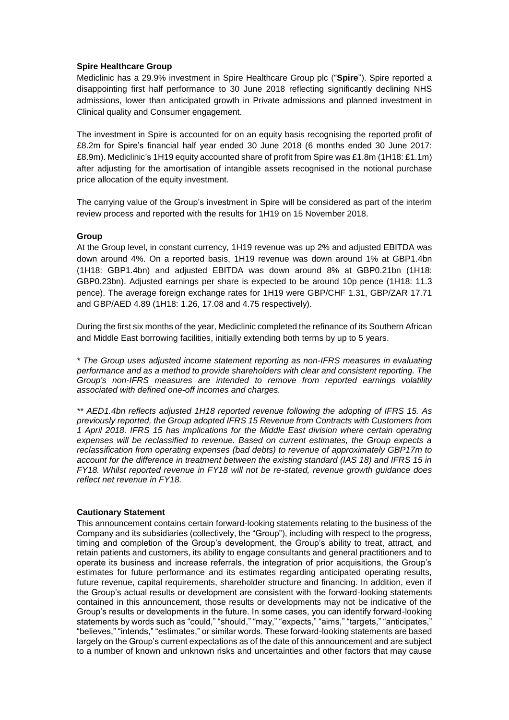### **Spire Healthcare Group**

Mediclinic has a 29.9% investment in Spire Healthcare Group plc ("**Spire**"). Spire reported a disappointing first half performance to 30 June 2018 reflecting significantly declining NHS admissions, lower than anticipated growth in Private admissions and planned investment in Clinical quality and Consumer engagement.

The investment in Spire is accounted for on an equity basis recognising the reported profit of £8.2m for Spire's financial half year ended 30 June 2018 (6 months ended 30 June 2017: £8.9m). Mediclinic's 1H19 equity accounted share of profit from Spire was £1.8m (1H18: £1.1m) after adjusting for the amortisation of intangible assets recognised in the notional purchase price allocation of the equity investment.

The carrying value of the Group's investment in Spire will be considered as part of the interim review process and reported with the results for 1H19 on 15 November 2018.

#### **Group**

At the Group level, in constant currency, 1H19 revenue was up 2% and adjusted EBITDA was down around 4%. On a reported basis, 1H19 revenue was down around 1% at GBP1.4bn (1H18: GBP1.4bn) and adjusted EBITDA was down around 8% at GBP0.21bn (1H18: GBP0.23bn). Adjusted earnings per share is expected to be around 10p pence (1H18: 11.3 pence). The average foreign exchange rates for 1H19 were GBP/CHF 1.31, GBP/ZAR 17.71 and GBP/AED 4.89 (1H18: 1.26, 17.08 and 4.75 respectively).

During the first six months of the year, Mediclinic completed the refinance of its Southern African and Middle East borrowing facilities, initially extending both terms by up to 5 years.

*\* The Group uses adjusted income statement reporting as non-IFRS measures in evaluating performance and as a method to provide shareholders with clear and consistent reporting. The Group's non-IFRS measures are intended to remove from reported earnings volatility associated with defined one-off incomes and charges.*

*\*\* AED1.4bn reflects adjusted 1H18 reported revenue following the adopting of IFRS 15. As previously reported, the Group adopted IFRS 15 Revenue from Contracts with Customers from 1 April 2018. IFRS 15 has implications for the Middle East division where certain operating expenses will be reclassified to revenue. Based on current estimates, the Group expects a reclassification from operating expenses (bad debts) to revenue of approximately GBP17m to account for the difference in treatment between the existing standard (IAS 18) and IFRS 15 in FY18. Whilst reported revenue in FY18 will not be re-stated, revenue growth guidance does reflect net revenue in FY18.* 

#### **Cautionary Statement**

This announcement contains certain forward-looking statements relating to the business of the Company and its subsidiaries (collectively, the "Group"), including with respect to the progress, timing and completion of the Group's development, the Group's ability to treat, attract, and retain patients and customers, its ability to engage consultants and general practitioners and to operate its business and increase referrals, the integration of prior acquisitions, the Group's estimates for future performance and its estimates regarding anticipated operating results, future revenue, capital requirements, shareholder structure and financing. In addition, even if the Group's actual results or development are consistent with the forward-looking statements contained in this announcement, those results or developments may not be indicative of the Group's results or developments in the future. In some cases, you can identify forward-looking statements by words such as "could," "should," "may," "expects," "aims," "targets," "anticipates," "believes," "intends," "estimates," or similar words. These forward-looking statements are based largely on the Group's current expectations as of the date of this announcement and are subject to a number of known and unknown risks and uncertainties and other factors that may cause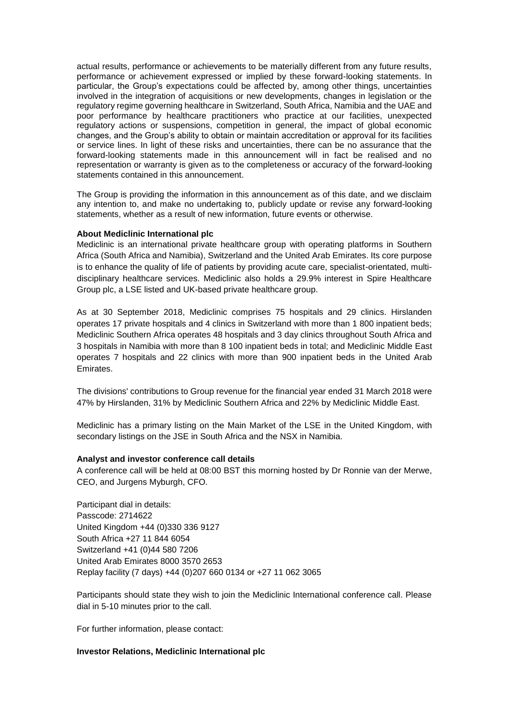actual results, performance or achievements to be materially different from any future results, performance or achievement expressed or implied by these forward-looking statements. In particular, the Group's expectations could be affected by, among other things, uncertainties involved in the integration of acquisitions or new developments, changes in legislation or the regulatory regime governing healthcare in Switzerland, South Africa, Namibia and the UAE and poor performance by healthcare practitioners who practice at our facilities, unexpected regulatory actions or suspensions, competition in general, the impact of global economic changes, and the Group's ability to obtain or maintain accreditation or approval for its facilities or service lines. In light of these risks and uncertainties, there can be no assurance that the forward-looking statements made in this announcement will in fact be realised and no representation or warranty is given as to the completeness or accuracy of the forward-looking statements contained in this announcement.

The Group is providing the information in this announcement as of this date, and we disclaim any intention to, and make no undertaking to, publicly update or revise any forward-looking statements, whether as a result of new information, future events or otherwise.

#### **About Mediclinic International plc**

Mediclinic is an international private healthcare group with operating platforms in Southern Africa (South Africa and Namibia), Switzerland and the United Arab Emirates. Its core purpose is to enhance the quality of life of patients by providing acute care, specialist-orientated, multidisciplinary healthcare services. Mediclinic also holds a 29.9% interest in Spire Healthcare Group plc, a LSE listed and UK-based private healthcare group.

As at 30 September 2018, Mediclinic comprises 75 hospitals and 29 clinics. Hirslanden operates 17 private hospitals and 4 clinics in Switzerland with more than 1 800 inpatient beds; Mediclinic Southern Africa operates 48 hospitals and 3 day clinics throughout South Africa and 3 hospitals in Namibia with more than 8 100 inpatient beds in total; and Mediclinic Middle East operates 7 hospitals and 22 clinics with more than 900 inpatient beds in the United Arab Emirates.

The divisions' contributions to Group revenue for the financial year ended 31 March 2018 were 47% by Hirslanden, 31% by Mediclinic Southern Africa and 22% by Mediclinic Middle East.

Mediclinic has a primary listing on the Main Market of the LSE in the United Kingdom, with secondary listings on the JSE in South Africa and the NSX in Namibia.

#### **Analyst and investor conference call details**

A conference call will be held at 08:00 BST this morning hosted by Dr Ronnie van der Merwe, CEO, and Jurgens Myburgh, CFO.

Participant dial in details: Passcode: 2714622 United Kingdom +44 (0)330 336 9127 South Africa +27 11 844 6054 Switzerland +41 (0)44 580 7206 United Arab Emirates 8000 3570 2653 Replay facility (7 days) +44 (0)207 660 0134 or +27 11 062 3065

Participants should state they wish to join the Mediclinic International conference call. Please dial in 5-10 minutes prior to the call.

For further information, please contact:

### **Investor Relations, Mediclinic International plc**